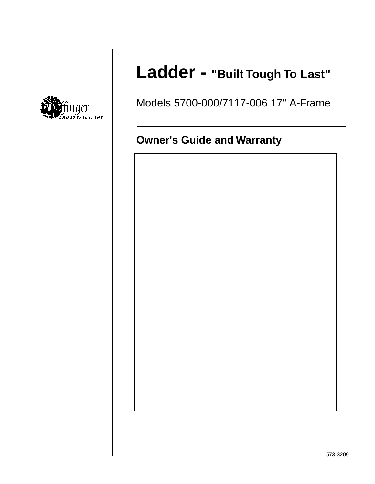

# **Ladder - "Built Tough To Last"**

Models 5700-000/7117-006 17" A-Frame

## **Owner's Guide and Warranty**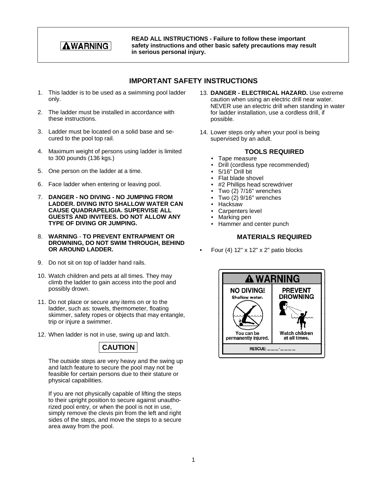## **AWARNING**

**READ ALL INSTRUCTIONS - Failure to follow these important safety instructions and other basic safety precautions may result in serious personal injury.**

#### **IMPORTANT SAFETY INSTRUCTIONS**

- 1. This ladder is to be used as a swimming pool ladder only.
- 2. The ladder must be installed in accordance with these instructions.
- 3. Ladder must be located on a solid base and secured to the pool top rail.
- 4. Maximum weight of persons using ladder is limited to 300 pounds (136 kgs.)
- 5. One person on the ladder at a time.
- 6. Face ladder when entering or leaving pool.
- 7. **DANGER NO DIVING NO JUMPING FROM LADDER. DIVING INTO SHALLOW WATER CAN CAUSE QUADRAPELIGIA. SUPERVISE ALL GUESTS AND INVITEES. DO NOT ALLOW ANY TYPE OF DIVING OR JUMPING.**
- 8. **WARNING** - **TO PREVENT ENTRAPMENT OR DROWNING, DO NOT SWIM THROUGH, BEHIND OR AROUND LADDER.**
- 9. Do not sit on top of ladder hand rails.
- 10. Watch children and pets at all times. They may climb the ladder to gain access into the pool and possibly drown.
- 11. Do not place or secure any items on or to the ladder, such as: towels, thermometer, floating skimmer, safety ropes or objects that may entangle, trip or injure a swimmer.
- 12. When ladder is not in use, swing up and latch.



The outside steps are very heavy and the swing up and latch feature to secure the pool may not be feasible for certain persons due to their stature or physical capabilities.

If you are not physically capable of lifting the steps to their upright position to secure against unauthorized pool entry, or when the pool is not in use, simply remove the clevis pin from the left and right sides of the steps, and move the steps to a secure area away from the pool.

- 13. **DANGER ELECTRICAL HAZARD.** Use extreme caution when using an electric drill near water. NEVER use an electric drill when standing in water for ladder installation, use a cordless drill, if possible.
- 14. Lower steps only when your pool is being supervised by an adult.

#### **TOOLS REQUIRED**

- Tape measure
- Drill (cordless type recommended)
- 5/16" Drill bit
- Flat blade shovel
- #2 Phillips head screwdriver
- Two (2) 7/16" wrenches
- Two  $(2)$  9/16" wrenches
- Hacksaw
- Carpenters level
- Marking pen
- Hammer and center punch

#### **MATERIALS REQUIRED**

Four  $(4)$  12" x 12" x 2" patio blocks

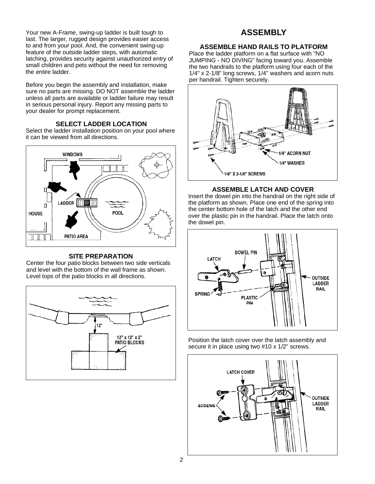Your new A-Frame, swing-up ladder is built tough to last. The larger, rugged design provides easier access to and from your pool. And, the convenient swing-up feature of the outside ladder steps, with automatic latching, provides security against unauthorized entry of small children and pets without the need for removing the entire ladder.

Before you begin the assembly and installation, make sure no parts are missing. DO NOT assemble the ladder unless all parts are available or ladder failure may result in serious personal injury. Report any missing parts to your dealer for prompt replacement.

#### **SELECT LADDER LOCATION**

Select the ladder installation position on your pool where it can be viewed from all directions.



#### **SITE PREPARATION**

Center the four patio blocks between two side verticals and level with the bottom of the wall frame as shown. Level tops of the patio blocks in all directions.



### **ASSEMBLY**

#### **ASSEMBLE HAND RAILS TO PLATFORM**

Place the ladder platform on a flat surface with "NO JUMPING - NO DIVING" facing toward you. Assemble the two handrails to the platform using four each of the 1/4" x 2-1/8" long screws, 1/4" washers and acorn nuts per handrail. Tighten securely.



#### **ASSEMBLE LATCH AND COVER**

Insert the dowel pin into the handrail on the right side of the platform as shown. Place one end of the spring into the center bottom hole of the latch and the other end over the plastic pin in the handrail. Place the latch onto the dowel pin.



Position the latch cover over the latch assembly and secure it in place using two #10 x 1/2" screws.

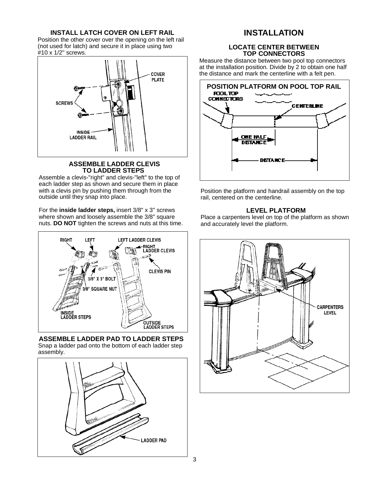#### **INSTALL LATCH COVER ON LEFT RAIL**

Position the other cover over the opening on the left rail (not used for latch) and secure it in place using two #10 x 1/2" screws.



#### **ASSEMBLE LADDER CLEVIS TO LADDER STEPS**

Assemble a clevis-"right" and clevis-"left" to the top of each ladder step as shown and secure them in place with a clevis pin by pushing them through from the outside until they snap into place.

For the **inside ladder steps,** insert 3/8" x 3" screws where shown and loosely assemble the 3/8" square nuts. **DO NOT** tighten the screws and nuts at this time.



#### **ASSEMBLE LADDER PAD TO LADDER STEPS** Snap a ladder pad onto the bottom of each ladder step assembly.



## **INSTALLATION**

#### **LOCATE CENTER BETWEEN TOP CONNECTORS**

Measure the distance between two pool top connectors at the installation position. Divide by 2 to obtain one half the distance and mark the centerline with a felt pen.



Position the platform and handrail assembly on the top rail, centered on the centerline.

#### **LEVEL PLATFORM**

Place a carpenters level on top of the platform as shown and accurately level the platform.

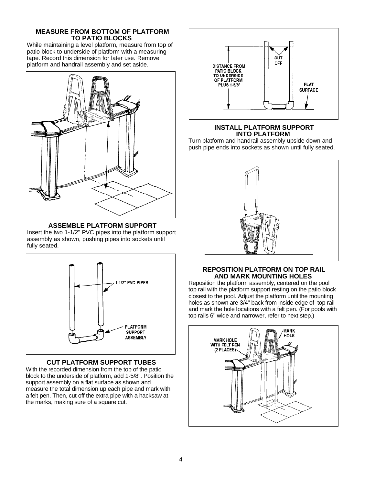#### **MEASURE FROM BOTTOM OF PLATFORM TO PATIO BLOCKS**

While maintaining a level platform, measure from top of patio block to underside of platform with a measuring tape. Record this dimension for later use. Remove platform and handrail assembly and set aside.



#### **ASSEMBLE PLATFORM SUPPORT**

Insert the two 1-1/2" PVC pipes into the platform support assembly as shown, pushing pipes into sockets until fully seated.



#### **CUT PLATFORM SUPPORT TUBES**

With the recorded dimension from the top of the patio block to the underside of platform, add 1-5/8". Position the support assembly on a flat surface as shown and measure the total dimension up each pipe and mark with a felt pen. Then, cut off the extra pipe with a hacksaw at the marks, making sure of a square cut.



#### **INSTALL PLATFORM SUPPORT INTO PLATFORM**

Turn platform and handrail assembly upside down and push pipe ends into sockets as shown until fully seated.



#### **REPOSITION PLATFORM ON TOP RAIL AND MARK MOUNTING HOLES**

Reposition the platform assembly, centered on the pool top rail with the platform support resting on the patio block closest to the pool. Adjust the platform until the mounting holes as shown are 3/4" back from inside edge of top rail and mark the hole locations with a felt pen. (For pools with top rails 6" wide and narrower, refer to next step.)

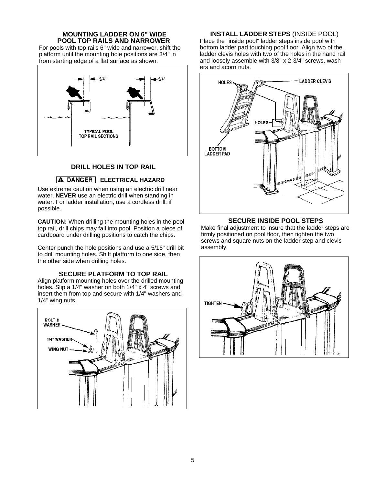#### **MOUNTING LADDER ON 6" WIDE POOL TOP RAILS AND NARROWER**

For pools with top rails 6" wide and narrower, shift the platform until the mounting hole positions are 3/4" in from starting edge of a flat surface as shown.



#### **DRILL HOLES IN TOP RAIL**

#### **A DANGER ELECTRICAL HAZARD**

Use extreme caution when using an electric drill near water. **NEVER** use an electric drill when standing in water. For ladder installation, use a cordless drill, if possible.

**CAUTION:** When drilling the mounting holes in the pool top rail, drill chips may fall into pool. Position a piece of cardboard under drilling positions to catch the chips.

Center punch the hole positions and use a 5/16" drill bit to drill mounting holes. Shift platform to one side, then the other side when drilling holes.

#### **SECURE PLATFORM TO TOP RAIL**

Align platform mounting holes over the drilled mounting holes. Slip a 1/4" washer on both 1/4" x 4" screws and insert them from top and secure with 1/4" washers and 1/4" wing nuts.



**INSTALL LADDER STEPS** (INSIDE POOL)

Place the "inside pool" ladder steps inside pool with bottom ladder pad touching pool floor. Align two of the ladder clevis holes with two of the holes in the hand rail and loosely assemble with 3/8" x 2-3/4" screws, washers and acorn nuts.



#### **SECURE INSIDE POOL STEPS**

Make final adjustment to insure that the ladder steps are firmly positioned on pool floor, then tighten the two screws and square nuts on the ladder step and clevis assembly.

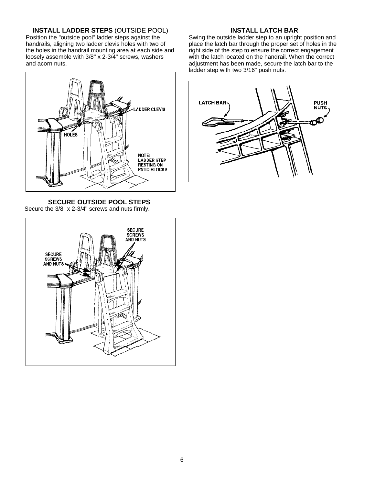#### **INSTALL LADDER STEPS** (OUTSIDE POOL)

Position the "outside pool" ladder steps against the handrails, aligning two ladder clevis holes with two of the holes in the handrail mounting area at each side and loosely assemble with 3/8" x 2-3/4" screws, washers and acorn nuts.



**SECURE OUTSIDE POOL STEPS**

Secure the 3/8" x 2-3/4" screws and nuts firmly.



#### **INSTALL LATCH BAR**

Swing the outside ladder step to an upright position and place the latch bar through the proper set of holes in the right side of the step to ensure the correct engagement with the latch located on the handrail. When the correct adjustment has been made, secure the latch bar to the ladder step with two 3/16" push nuts.

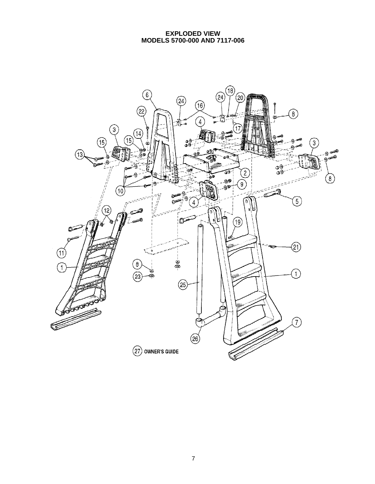#### **EXPLODED VIEW MODELS 5700-000 AND 7117-006**

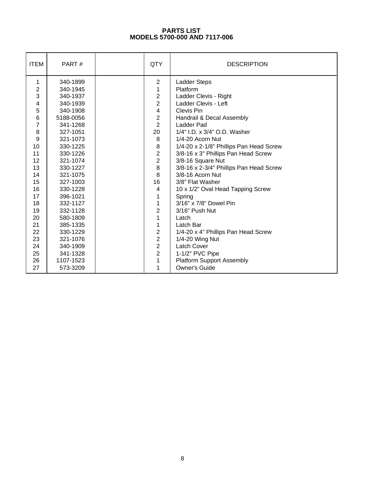#### **PARTS LIST MODELS 5700-000 AND 7117-006**

| <b>ITEM</b> | PART#     | QTY                     | <b>DESCRIPTION</b>                      |
|-------------|-----------|-------------------------|-----------------------------------------|
| 1           | 340-1899  | $\overline{2}$          | Ladder Steps                            |
| 2           | 340-1945  | $\mathbf 1$             | Platform                                |
| 3           | 340-1937  | $\overline{2}$          | Ladder Clevis - Right                   |
| 4           | 340-1939  | $\overline{2}$          | Ladder Clevis - Left                    |
| 5           | 340-1908  | $\overline{\mathbf{4}}$ | Clevis Pin                              |
| 6           | 5188-0056 | $\overline{2}$          | Handrail & Decal Assembly               |
| 7           | 341-1268  | $\overline{2}$          | Ladder Pad                              |
| 8           | 327-1051  | 20                      | 1/4" I.D. x 3/4" O.D. Washer            |
| 9           | 321-1073  | 8                       | 1/4-20 Acorn Nut                        |
| 10          | 330-1225  | 8                       | 1/4-20 x 2-1/8" Phillips Pan Head Screw |
| 11          | 330-1226  | $\overline{c}$          | 3/8-16 x 3" Phillips Pan Head Screw     |
| 12          | 321-1074  | $\overline{2}$          | 3/8-16 Square Nut                       |
| 13          | 330-1227  | 8                       | 3/8-16 x 2-3/4" Phillips Pan Head Screw |
| 14          | 321-1075  | 8                       | 3/8-16 Acorn Nut                        |
| 15          | 327-1003  | 16                      | 3/8" Flat Washer                        |
| 16          | 330-1228  | 4                       | 10 x 1/2" Oval Head Tapping Screw       |
| 17          | 396-1021  | 1                       | Spring                                  |
| 18          | 332-1127  | $\mathbf 1$             | 3/16" x 7/8" Dowel Pin                  |
| 19          | 332-1128  | $\overline{2}$          | 3/16" Push Nut                          |
| 20          | 580-1809  | $\overline{1}$          | Latch                                   |
| 21          | 385-1335  | 1                       | Latch Bar                               |
| 22          | 330-1229  | $\overline{c}$          | 1/4-20 x 4" Phillips Pan Head Screw     |
| 23          | 321-1076  | $\overline{2}$          | 1/4-20 Wing Nut                         |
| 24          | 340-1909  | $\overline{2}$          | Latch Cover                             |
| 25          | 341-1328  | $\overline{2}$          | 1-1/2" PVC Pipe                         |
| 26          | 1107-1523 | $\overline{1}$          | <b>Platform Support Assembly</b>        |
| 27          | 573-3209  | 1                       | <b>Owner's Guide</b>                    |